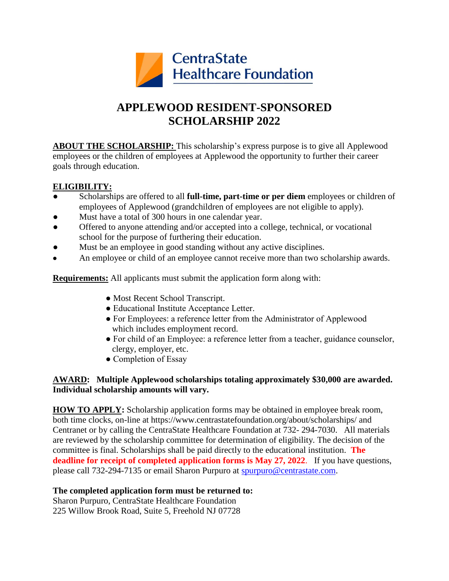

# **APPLEWOOD RESIDENT-SPONSORED SCHOLARSHIP 2022**

**ABOUT THE SCHOLARSHIP:** This scholarship's express purpose is to give all Applewood employees or the children of employees at Applewood the opportunity to further their career goals through education.

## **ELIGIBILITY:**

- Scholarships are offered to all **full-time, part-time or per diem** employees or children of employees of Applewood (grandchildren of employees are not eligible to apply).
- Must have a total of 300 hours in one calendar year.
- Offered to anyone attending and/or accepted into a college, technical, or vocational school for the purpose of furthering their education.
- Must be an employee in good standing without any active disciplines.
- An employee or child of an employee cannot receive more than two scholarship awards.

**Requirements:** All applicants must submit the application form along with:

- Most Recent School Transcript.
- Educational Institute Acceptance Letter.
- For Employees: a reference letter from the Administrator of Applewood which includes employment record.
- For child of an Employee: a reference letter from a teacher, guidance counselor, clergy, employer, etc.
- Completion of Essay

## **AWARD: Multiple Applewood scholarships totaling approximately \$30,000 are awarded. Individual scholarship amounts will vary.**

**HOW TO APPLY:** Scholarship application forms may be obtained in employee break room, both time clocks, on-line at https://www.centrastatefoundation.org/about/scholarships/ and Centranet or by calling the CentraState Healthcare Foundation at 732- 294-7030. All materials are reviewed by the scholarship committee for determination of eligibility. The decision of the committee is final. Scholarships shall be paid directly to the educational institution. **The deadline for receipt of completed application forms is May 27, 2022**. If you have questions, please call 732-294-7135 or email Sharon Purpuro at [spurpuro@centrastate.com.](mailto:spurpuro@centrastate.com)

#### **The completed application form must be returned to:**

Sharon Purpuro, CentraState Healthcare Foundation 225 Willow Brook Road, Suite 5, Freehold NJ 07728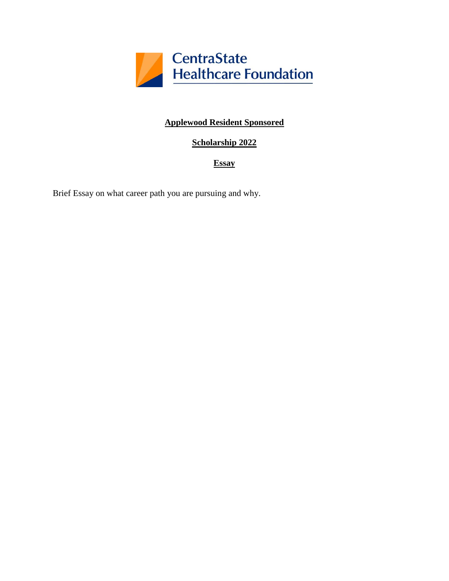

# **Applewood Resident Sponsored**

# **Scholarship 2022**

## **Essay**

Brief Essay on what career path you are pursuing and why.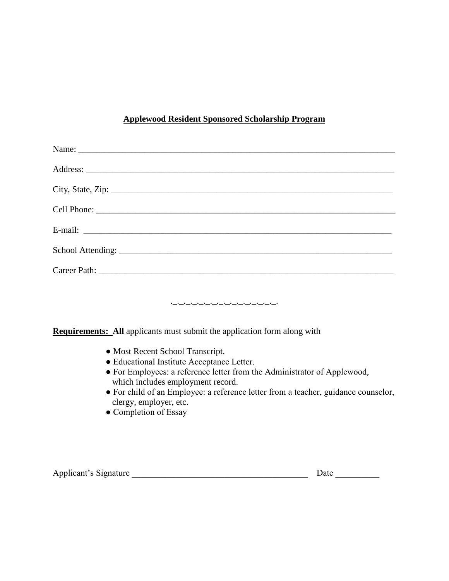# **Applewood Resident Sponsored Scholarship Program**

| وساوست وسأوس وسأوسأ وسأوسأ وسأوسأ وسأوسأ وسأوسأ وسأوسأ<br><b>Requirements:</b> All applicants must submit the application form along with<br>• Most Recent School Transcript.<br>· Educational Institute Acceptance Letter.<br>• For Employees: a reference letter from the Administrator of Applewood,<br>which includes employment record.<br>• For child of an Employee: a reference letter from a teacher, guidance counselor,<br>clergy, employer, etc.<br>• Completion of Essay |  |  |  |
|---------------------------------------------------------------------------------------------------------------------------------------------------------------------------------------------------------------------------------------------------------------------------------------------------------------------------------------------------------------------------------------------------------------------------------------------------------------------------------------|--|--|--|

| Applicant's Signature |  |  |
|-----------------------|--|--|
|                       |  |  |